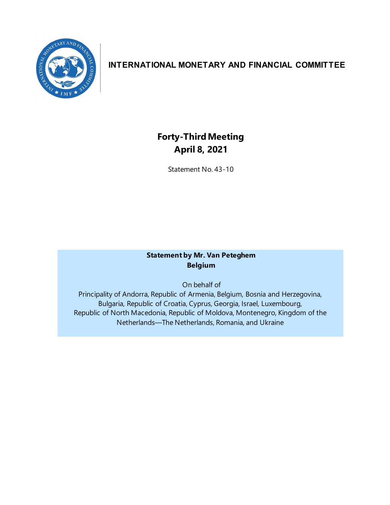

# **INTERNATIONAL MONETARY AND FINANCIAL COMMITTEE**

# **Forty-ThirdMeeting April 8, 2021**

Statement No. 43-10

# **Statement by Mr. Van Peteghem Belgium**

On behalf of

Principality of Andorra, Republic of Armenia, Belgium, Bosnia and Herzegovina, Bulgaria, Republic of Croatia, Cyprus, Georgia, Israel, Luxembourg, Republic of North Macedonia, Republic of Moldova, Montenegro, Kingdom of the Netherlands—The Netherlands, Romania, and Ukraine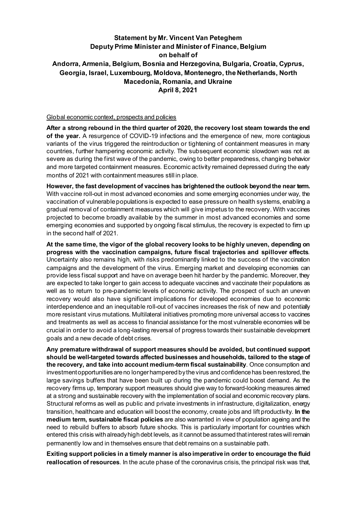# **Statement by Mr. Vincent Van Peteghem Deputy Prime Minister and Minister of Finance, Belgium on behalf of Andorra, Armenia, Belgium, Bosnia and Herzegovina, Bulgaria, Croatia, Cyprus, Georgia, Israel, Luxembourg, Moldova, Montenegro, the Netherlands, North Macedonia, Romania, and Ukraine April 8, 2021**

### Global economic context, prospects and policies

**After a strong rebound in the third quarter of 2020, the recovery lost steam towards the end of the year.** A resurgence of COVID-19 infections and the emergence of new, more contagious variants of the virus triggered the reintroduction or tightening of containment measures in many countries, further hampering economic activity. The subsequent economic slowdown was not as severe as during the first wave of the pandemic, owing to better preparedness, changing behavior and more targeted containment measures. Economic activity remained depressed during the early months of 2021 with containment measures still in place.

**However, the fast development of vaccines has brightened the outlook beyond the near term.**  With vaccine roll-out in most advanced economies and some emerging economies under way, the vaccination of vulnerable populations is expected to ease pressure on health systems, enabling a gradual removal of containment measures which will give impetus to the recovery. With vaccines projected to become broadly available by the summer in most advanced economies and some emerging economies and supported by ongoing fiscal stimulus, the recovery is expected to firm up in the second half of 2021.

**At the same time, the vigor of the global recovery looks to be highly uneven, depending on progress with the vaccination campaigns, future fiscal trajectories and spillover effects**. Uncertainty also remains high, with risks predominantly linked to the success of the vaccination campaigns and the development of the virus. Emerging market and developing economies can provide less fiscal support and have on average been hit harder by the pandemic. Moreover, they are expected to take longer to gain access to adequate vaccines and vaccinate their populations as well as to return to pre-pandemic levels of economic activity. The prospect of such an uneven recovery would also have significant implications for developed economies due to economic interdependence and an inequitable roll-out of vaccines increases the risk of new and potentially more resistant virus mutations. Multilateral initiatives promoting more universal access to vaccines and treatments as well as access to financial assistance for the most vulnerable economies will be crucial in order to avoid a long-lasting reversal of progress towards their sustainable development goals and a new decade of debt crises.

**Any premature withdrawal of support measures should be avoided, but continued support should be well-targeted towards affected businesses and households, tailored to the stage of the recovery, and take into account medium-term fiscal sustainability**. Once consumption and investmentopportunities are no longer hampered by the virus and confidence has been restored, the large savings buffers that have been built up during the pandemic could boost demand. As the recovery firms up, temporary support measures should give way to forward-looking measures aimed at a strong and sustainable recovery with the implementation of social and economic recovery plans. Structural reforms as well as public and private investments in infrastructure, digitalization, energy transition, healthcare and education will boost the economy, create jobs and lift productivity. **In the medium term, sustainable fiscal policies** are also warranted in view of population ageing and the need to rebuild buffers to absorb future shocks. This is particularly important for countries which entered this crisis with already high debt levels, as it cannot be assumed that interest rates will remain permanently low and in themselves ensure that debt remains on a sustainable path.

**Exiting support policies in a timely manner is also imperative in order to encourage the fluid reallocation of resources**. In the acute phase of the coronavirus crisis, the principal risk was that,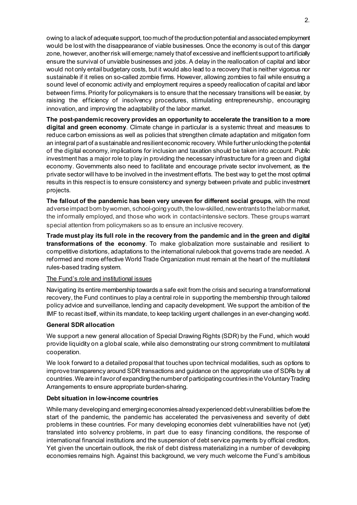owing to a lack of adequate support, too much of the production potential and associated employment would be lost with the disappearance of viable businesses. Once the economy is out of this danger zone, however, another risk will emerge; namely that of excessive and inefficient support to artificially ensure the survival of unviable businesses and jobs. A delay in the reallocation of capital and labor would not only entail budgetary costs, but it would also lead to a recovery that is neither vigorous nor sustainable if it relies on so-called zombie firms. However, allowing zombies to fail while ensuring a sound level of economic activity and employment requires a speedy reallocation of capital and labor between firms. Priority for policymakers is to ensure that the necessary transitions will be easier, by raising the efficiency of insolvency procedures, stimulating entrepreneurship, encouraging innovation, and improving the adaptability of the labor market.

**The post-pandemic recovery provides an opportunity to accelerate the transition to a more digital and green economy**. Climate change in particular is a systemic threat and measures to reduce carbon emissions as well as policies that strengthen climate adaptation and mitigation form an integral part of a sustainable and resilient economic recovery. While further unlocking the potential of the digital economy, implications for inclusion and taxation should be taken into account. Public investment has a major role to play in providing the necessary infrastructure for a green and digital economy. Governments also need to facilitate and encourage private sector involvement, as the private sector will have to be involved in the investment efforts. The best way to get the most optimal results in this respect is to ensure consistency and synergy between private and public investment projects.

**The fallout of the pandemic has been very uneven for different social groups**, with the most adverse impact born by women, school-going youth, the low-skilled, new entrants to the labormarket, the informally employed, and those who work in contact-intensive sectors. These groups warrant special attention from policymakers so as to ensure an inclusive recovery.

**Trade must play its full role in the recovery from the pandemic and in the green and digital transformations of the economy**. To make globalization more sustainable and resilient to competitive distortions, adaptations to the international rulebook that governs trade are needed. A reformed and more effective World Trade Organization must remain at the heart of the multilateral rules-based trading system.

# The Fund's role and institutional issues

Navigating its entire membership towards a safe exit from the crisis and securing a transformational recovery, the Fund continues to play a central role in supporting the membership through tailored policy advice and surveillance, lending and capacity development. We support the ambition of the IMF to recast itself, within its mandate, to keep tackling urgent challenges in an ever-changing world.

#### **General SDR allocation**

We support a new general allocation of Special Drawing Rights (SDR) by the Fund, which would provide liquidity on a global scale, while also demonstrating our strong commitment to multilateral cooperation.

We look forward to a detailed proposal that touches upon technical modalities, such as options to improve transparency around SDR transactions and guidance on the appropriate use of SDRs by all countries. We are in favorof expanding the number of participating countries in the Voluntary Trading Arrangements to ensure appropriate burden-sharing.

#### **Debt situation in low-income countries**

While many developing and emerging economies already experienced debt vulnerabilities before the start of the pandemic, the pandemic has accelerated the pervasiveness and severity of debt problems in these countries. For many developing economies debt vulnerabilities have not (yet) translated into solvency problems, in part due to easy financing conditions, the response of international financial institutions and the suspension of debt service payments by official creditors, Yet given the uncertain outlook, the risk of debt distress materializing in a number of developing economies remains high. Against this background, we very much welcome the Fund's ambitious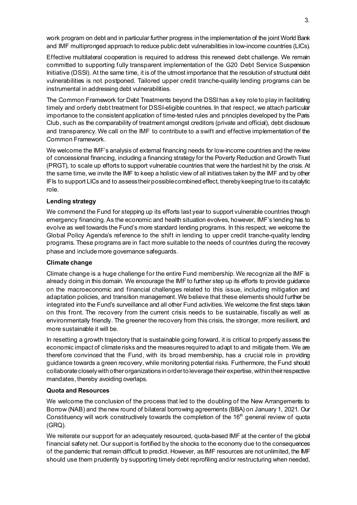work program on debt and in particular further progress in the implementation of the joint World Bank and IMF multipronged approach to reduce public debt vulnerabilities in low-income countries (LICs).

Effective multilateral cooperation is required to address this renewed debt challenge. We remain committed to supporting fully transparent implementation of the G20 Debt Service Suspension Initiative (DSSI). At the same time, it is of the utmost importance that the resolution of structural debt vulnerabilities is not postponed. Tailored upper credit tranche-quality lending programs can be instrumental in addressing debt vulnerabilities.

The Common Framework for Debt Treatments beyond the DSSI has a key role to play in facilitating timely and orderly debt treatment for DSSI-eligible countries. In that respect, we attach particular importance to the consistent application of time-tested rules and principles developed by the Paris Club, such as the comparability of treatment amongst creditors (private and official), debt disclosure and transparency. We call on the IMF to contribute to a swift and effective implementation of the Common Framework.

We welcome the IMF's analysis of external financing needs for low-income countries and the review of concessional financing, including a financing strategy for the Poverty Reduction and Growth Trust (PRGT), to scale up efforts to support vulnerable countries that were the hardest hit by the crisis. At the same time, we invite the IMF to keep a holistic view of all initiatives taken by the IMF and by other IFIs to support LICs and to assess their possible combined effect, thereby keeping true to its catalytic role.

# **Lending strategy**

We commend the Fund for stepping up its efforts last year to support vulnerable countries through emergency financing. As the economic and health situation evolves, however, IMF's lending has to evolve as well towards the Fund's more standard lending programs. In this respect, we welcome the Global Policy Agenda's reference to the shift in lending to upper credit tranche-quality lending programs. These programs are in fact more suitable to the needs of countries during the recovery phase and includemore governance safeguards.

# **Climate change**

Climate change is a huge challenge for the entire Fund membership. We recognize all the IMF is already doing in this domain. We encourage the IMF to further step up its efforts to provide guidance on the macroeconomic and financial challenges related to this issue, including mitigation and adaptation policies, and transition management. We believe that these elements should further be integrated into the Fund's surveillance and all other Fund activities. We welcome the first steps taken on this front. The recovery from the current crisis needs to be sustainable, fiscally as well as environmentally friendly. The greener the recovery from this crisis, the stronger, more resilient, and more sustainable it will be.

In resetting a growth trajectory that is sustainable going forward, it is critical to properly assess the economic impact of climate risks and the measures required to adapt to and mitigate them. We are therefore convinced that the Fund, with its broad membership, has a crucial role in providing guidance towards a green recovery, while monitoring potential risks. Furthermore, the Fund should collaborate closely with other organizations in order to leverage their expertise, within their respective mandates, thereby avoiding overlaps.

# **Quota and Resources**

We welcome the conclusion of the process that led to the doubling of the New Arrangements to Borrow (NAB) and the new round of bilateral borrowing agreements (BBA) on January 1, 2021. Our Constituency will work constructively towards the completion of the  $16<sup>th</sup>$  general review of quota (GRQ).

We reiterate our support for an adequately resourced, quota-based IMF at the center of the global financial safety net. Our support is fortified by the shocks to the economy due to the consequences of the pandemic that remain difficult to predict. However, as IMF resources are not unlimited, the IMF should use them prudently by supporting timely debt reprofiling and/or restructuring when needed,